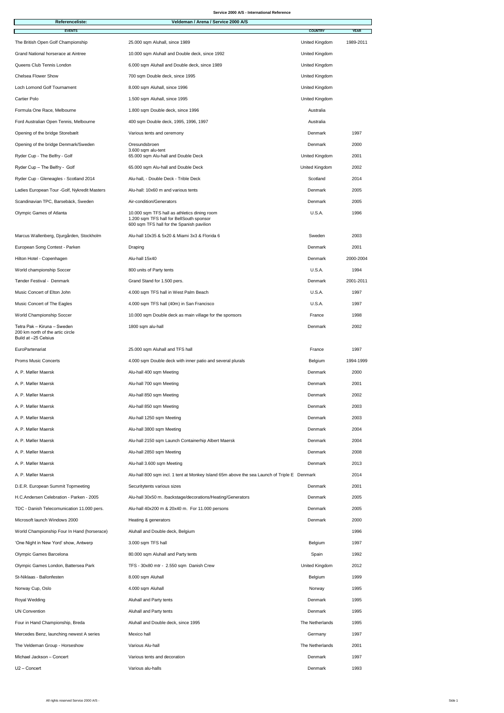## **Service 2000 A/S - International Reference**

| <b>Referenceliste:</b>                                                                  | Veldeman / Arena / Service 2000 A/S                                                                                                   |                       |              |
|-----------------------------------------------------------------------------------------|---------------------------------------------------------------------------------------------------------------------------------------|-----------------------|--------------|
| <b>EVENTS</b>                                                                           |                                                                                                                                       | <b>COUNTRY</b>        | <b>YEAR</b>  |
| The British Open Golf Championship                                                      | 25.000 sqm Aluhall, since 1989                                                                                                        | United Kingdom        | 1989-2011    |
| <b>Grand National horserace at Aintree</b>                                              | 10.000 sqm Aluhall and Double deck, since 1992                                                                                        | <b>United Kingdom</b> |              |
| Queens Club Tennis London                                                               | 6.000 sqm Aluhall and Double deck, since 1989                                                                                         | <b>United Kingdom</b> |              |
| <b>Chelsea Flower Show</b>                                                              | 700 sqm Double deck, since 1995                                                                                                       | United Kingdom        |              |
| <b>Loch Lomond Golf Tournament</b>                                                      | 8.000 sqm Aluhall, since 1996                                                                                                         | <b>United Kingdom</b> |              |
| <b>Cartier Polo</b>                                                                     | 1.500 sqm Aluhall, since 1995                                                                                                         | <b>United Kingdom</b> |              |
| Formula One Race, Melbourne                                                             | 1.800 sqm Double deck, since 1996                                                                                                     | Australia             |              |
| Ford Australian Open Tennis, Melbourne                                                  | 400 sqm Double deck, 1995, 1996, 1997                                                                                                 | Australia             |              |
| Opening of the bridge Storebælt                                                         | Various tents and ceremony                                                                                                            | Denmark               | 1997         |
| Opening of the bridge Denmark/Sweden                                                    | Oresundsbroen                                                                                                                         | Denmark               | 2000         |
| Ryder Cup - The Belfry - Golf                                                           | 3.600 sqm alu-tent<br>65.000 sqm Alu-hall and Double Deck                                                                             | <b>United Kingdom</b> | 2001         |
| Ryder Cup - The Belfry - Golf                                                           | 65.000 sqm Alu-hall and Double Deck                                                                                                   | <b>United Kingdom</b> | 2002         |
| Ryder Cup - Gleneagles - Scotland 2014                                                  | Alu-hall, - Double Deck - Trible Deck                                                                                                 | Scotland              | 2014         |
| Ladies European Tour - Golf, Nykredit Masters                                           | Alu-hall: 10x60 m and various tents                                                                                                   | Denmark               | 2005         |
| Scandinavian TPC, Barsebäck, Sweden                                                     | Air-condition/Generators                                                                                                              | Denmark               | 2005         |
| <b>Olympic Games of Atlanta</b>                                                         | 10.000 sqm TFS hall as athletics dining room<br>1.200 sqm TFS hall for BellSouth sponsor<br>600 sqm TFS hall for the Spanish pavilion | U.S.A.                | 1996         |
| Marcus Wallenberg, Djurgården, Stockholm                                                | Alu-hall 10x35 & 5x20 & Miami 3x3 & Florida 6                                                                                         | Sweden                | 2003         |
| European Song Contest - Parken                                                          | Draping                                                                                                                               | <b>Denmark</b>        | 2001         |
| Hilton Hotel - Copenhagen                                                               | Alu-hall 15x40                                                                                                                        | Denmark               | 2000-2004    |
| World championship Soccer                                                               | 800 units of Party tents                                                                                                              | U.S.A.                | 1994         |
| Tønder Festival - Denmark                                                               | Grand Stand for 1.500 pers.                                                                                                           | Denmark               | 2001-2011    |
| <b>Music Concert of Elton John</b>                                                      | 4.000 sqm TFS hall in West Palm Beach                                                                                                 | U.S.A.                | 1997         |
| <b>Music Concert of The Eagles</b>                                                      | 4.000 sqm TFS hall (40m) in San Francisco                                                                                             | U.S.A.                | 1997         |
| <b>World Championship Soccer</b>                                                        | 10.000 sqm Double deck as main village for the sponsors                                                                               | France                | 1998         |
| Tetra Pak - Kiruna - Sweden<br>200 km north of the artic circle<br>Build at -25 Celsius | 1800 sqm alu-hall                                                                                                                     | Denmark               | 2002         |
| EuroPartenariat                                                                         | 25.000 sqm Aluhall and TFS hall                                                                                                       | France                | 1997         |
| <b>Proms Music Concerts</b>                                                             | 4.000 sqm Double deck with inner patio and several plurals                                                                            | <b>Belgium</b>        | 1994-1999    |
| A. P. Møller Maersk                                                                     | Alu-hall 400 sqm Meeting                                                                                                              | Denmark               | 2000         |
| A. P. Møller Maersk                                                                     | Alu-hall 700 sqm Meeting                                                                                                              | Denmark               | 2001         |
| A. P. Møller Maersk                                                                     | Alu-hall 850 sqm Meeting                                                                                                              | Denmark               | 2002         |
| A. P. Møller Maersk                                                                     | Alu-hall 850 sqm Meeting                                                                                                              | Denmark               | 2003         |
| A. P. Møller Maersk                                                                     | Alu-hall 1250 sqm Meeting                                                                                                             | Denmark               | 2003         |
| A. P. Møller Maersk                                                                     | Alu-hall 3800 sqm Meeting                                                                                                             | Denmark               | 2004         |
| A. P. Møller Maersk                                                                     | Alu-hall 2150 sqm Launch Containerhip Albert Maersk                                                                                   | Denmark               | 2004         |
| A. P. Møller Maersk                                                                     | Alu-hall 2850 sqm Meeting                                                                                                             | Denmark               | 2008         |
| A. P. Møller Maersk                                                                     | Alu-hall 3.600 sqm Meeting                                                                                                            | Denmark               | 2013         |
| A. P. Møller Maersk                                                                     | Alu-hall 800 sqm incl. 1 tent at Monkey Island 65m above the sea Launch of Triple E Denmark                                           |                       | 2014         |
| D.E.R. European Summit Topmeeting                                                       | Securitytents various sizes                                                                                                           | Denmark               | 2001         |
| H.C.Andersen Celebration - Parken - 2005                                                |                                                                                                                                       | Denmark               |              |
| TDC - Danish Telecomunication 11.000 pers.                                              | Alu-hall 30x50 m. /backstage/decorations/Heating/Generators<br>Alu-hall 40x200 m & 20x40 m. For 11.000 persons                        | Denmark               | 2005<br>2005 |
|                                                                                         |                                                                                                                                       |                       |              |
| Microsoft launch Windows 2000                                                           | Heating & generators                                                                                                                  | Denmark               | 2000         |
| World Championship Four In Hand (horserace)                                             | Aluhall and Double deck, Belgium                                                                                                      |                       | 1996         |
| 'One Night in New Yord' show, Antwerp                                                   | 3.000 sqm TFS hall                                                                                                                    | <b>Belgium</b>        | 1997         |
| <b>Olympic Games Barcelona</b>                                                          | 80.000 sqm Aluhall and Party tents                                                                                                    | Spain                 | 1992         |
| Olympic Games London, Battersea Park                                                    | TFS - 30x80 mtr - 2.550 sqm Danish Crew                                                                                               | <b>United Kingdom</b> | 2012         |
| St-Niklaas - Ballonfesten                                                               | 8.000 sqm Aluhall                                                                                                                     | <b>Belgium</b>        | 1999         |

| Norway Cup, Oslo                         | 4.000 sqm Aluhall                   | Norway          | 1995 |
|------------------------------------------|-------------------------------------|-----------------|------|
| <b>Royal Wedding</b>                     | <b>Aluhall and Party tents</b>      | Denmark         | 1995 |
| <b>UN Convention</b>                     | <b>Aluhall and Party tents</b>      | Denmark         | 1995 |
| Four in Hand Championship, Breda         | Aluhall and Double deck, since 1995 | The Netherlands | 1995 |
| Mercedes Benz, launching newest A series | Mexico hall                         | Germany         | 1997 |
| The Veldeman Group - Horseshow           | <b>Various Alu-hall</b>             | The Netherlands | 2001 |
| Michael Jackson - Concert                | Various tents and decoration        | <b>Denmark</b>  | 1997 |
| $U2 -$ Concert                           | Various alu-halls                   | <b>Denmark</b>  | 1993 |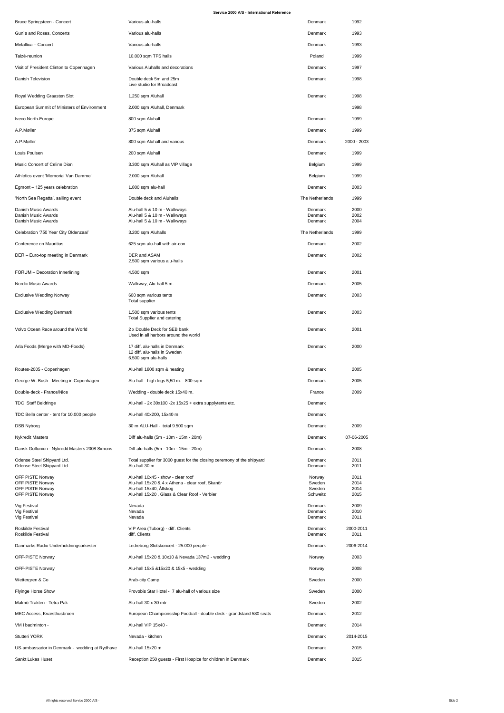## **Service 2000 A/S - International Reference**

| <b>Bruce Springsteen - Concert</b>                                            | Various alu-halls                                                                                                 | <b>Denmark</b>                                     | 1992                 |
|-------------------------------------------------------------------------------|-------------------------------------------------------------------------------------------------------------------|----------------------------------------------------|----------------------|
| Gun's and Roses, Concerts                                                     | Various alu-halls                                                                                                 | <b>Denmark</b>                                     | 1993                 |
| Metallica - Concert                                                           | Various alu-halls                                                                                                 | <b>Denmark</b>                                     | 1993                 |
| Taizé-reunion                                                                 | 10.000 sqm TFS halls                                                                                              | Poland                                             | 1999                 |
| Visit of President Clinton to Copenhagen                                      | Various Aluhalls and decorations                                                                                  | <b>Denmark</b>                                     | 1997                 |
| <b>Danish Television</b>                                                      | Double deck 5m and 25m<br>Live studio for Broadcast                                                               | <b>Denmark</b>                                     | 1998                 |
| Royal Wedding Graasten Slot                                                   | 1.250 sqm Aluhall                                                                                                 | <b>Denmark</b>                                     | 1998                 |
| European Summit of Ministers of Environment                                   | 2.000 sqm Aluhall, Denmark                                                                                        |                                                    | 1998                 |
| <b>Iveco North-Europe</b>                                                     | 800 sqm Aluhall                                                                                                   | <b>Denmark</b>                                     | 1999                 |
| A.P.Møller                                                                    | 375 sqm Aluhall                                                                                                   | <b>Denmark</b>                                     | 1999                 |
| A.P.Møller                                                                    | 800 sqm Aluhall and various                                                                                       | <b>Denmark</b>                                     | $2000 - 2003$        |
| Louis Poulsen                                                                 | 200 sqm Aluhall                                                                                                   | <b>Denmark</b>                                     | 1999                 |
| <b>Music Concert of Celine Dion</b>                                           | 3.300 sqm Aluhall as VIP village                                                                                  | <b>Belgium</b>                                     | 1999                 |
| Athletics event 'Memorial Van Damme'                                          | 2.000 sqm Aluhall                                                                                                 | <b>Belgium</b>                                     | 1999                 |
| Egmont – 125 years celebration                                                | 1.800 sqm alu-hall                                                                                                | <b>Denmark</b>                                     | 2003                 |
| 'North Sea Regatta', sailing event                                            | Double deck and Aluhalls                                                                                          | The Netherlands                                    | 1999                 |
| Danish Music Awards<br>Danish Music Awards<br>Danish Music Awards             | Alu-hall 5 & 10 m - Walkways<br>Alu-hall 5 & 10 m - Walkways<br>Alu-hall 5 & 10 m - Walkways                      | <b>Denmark</b><br><b>Denmark</b><br><b>Denmark</b> | 2000<br>2002<br>2004 |
| Celebration '750 Year City Oldenzaal'                                         | 3.200 sqm Aluhalls                                                                                                | The Netherlands                                    | 1999                 |
| <b>Conference on Mauritius</b>                                                | 625 sqm alu-hall with air-con                                                                                     | <b>Denmark</b>                                     | 2002                 |
| DER - Euro-top meeting in Denmark                                             | <b>DER and ASAM</b><br>2.500 sqm various alu-halls                                                                | <b>Denmark</b>                                     | 2002                 |
| FORUM - Decoration Innerlining                                                | 4.500 sqm                                                                                                         | <b>Denmark</b>                                     | 2001                 |
| <b>Nordic Music Awards</b>                                                    | Walkway, Alu-hall 5 m.                                                                                            | <b>Denmark</b>                                     | 2005                 |
| <b>Exclusive Wedding Norway</b>                                               | 600 sqm various tents<br><b>Total supplier</b>                                                                    | <b>Denmark</b>                                     | 2003                 |
| <b>Exclusive Wedding Denmark</b>                                              | 1.500 sqm various tents<br><b>Total Supplier and catering</b>                                                     | <b>Denmark</b>                                     | 2003                 |
| Volvo Ocean Race around the World                                             | 2 x Double Deck for SEB bank<br>Used in all harbors around the world                                              | <b>Denmark</b>                                     | 2001                 |
| Arla Foods (Merge with MD-Foods)                                              | 17 diff. alu-halls in Denmark<br>12 diff. alu-halls in Sweden<br>6.500 sqm alu-halls                              | <b>Denmark</b>                                     | 2000                 |
| Routes-2005 - Copenhagen                                                      | Alu-hall 1800 sqm & heating                                                                                       | <b>Denmark</b>                                     | 2005                 |
| George W. Bush - Meeting in Copenhagen                                        | Alu-hall - high legs 5,50 m. - 800 sqm                                                                            | <b>Denmark</b>                                     | 2005                 |
| Double-deck - France/Nice                                                     | Wedding - double deck 15x40 m.                                                                                    | France                                             | 2009                 |
| <b>TDC Staff Beldringe</b>                                                    | Alu-hall - 2x 30x100 -2x 15x25 + extra supplytents etc.                                                           | <b>Denmark</b>                                     |                      |
| TDC Bella center - tent for 10.000 people                                     | Alu-hall 40x200, 15x40 m                                                                                          | <b>Denmark</b>                                     |                      |
| <b>DSB Nyborg</b>                                                             | 30 m ALU-Hall - total 9.500 sqm                                                                                   | Denmark                                            | 2009                 |
| <b>Nykredit Masters</b>                                                       | Diff alu-halls (5m - 10m - 15m - 20m)                                                                             | <b>Denmark</b>                                     | 07-06-2005           |
| Dansk Golfunion - Nykredit Masters 2008 Simons                                | Diff alu-halls (5m - 10m - 15m - 20m)                                                                             | Denmark                                            | 2008                 |
| Odense Steel Shipyard Ltd.<br>Odense Steel Shipyard Ltd.                      | Total supplier for 3000 guest for the closing ceremony of the shipyard<br>Alu-hall 30 m                           | <b>Denmark</b><br><b>Denmark</b>                   | 2011<br>2011         |
| <b>OFF PISTE Norway</b><br><b>OFF PISTE Norway</b><br><b>OFF PISTE Norway</b> | Alu-hall 10x45 - show - clear roof<br>Alu-hall 15x20 & 4 x Athena - clear roof, Skanör<br>Alu-hall 15x40, Allskog | Norway<br>Sweden<br>Sweden                         | 2011<br>2014<br>2014 |
| <b>OFF PISTE Norway</b><br><b>Vig Festival</b><br><b>Vig Festival</b>         | Alu-hall 15x20, Glass & Clear Roof - Verbier<br>Nevada<br>Nevada                                                  | Schweitz<br><b>Denmark</b><br><b>Denmark</b>       | 2015<br>2009<br>2010 |
| <b>Vig Festival</b><br><b>Roskilde Festival</b>                               | Nevada<br>VIP Area (Tuborg) - diff. Clients                                                                       | <b>Denmark</b><br><b>Denmark</b>                   | 2011<br>2000-2011    |
| <b>Roskilde Festival</b>                                                      | diff. Clients                                                                                                     | <b>Denmark</b><br><b>Denmark</b>                   | 2011<br>2006-2014    |
| Danmarks Radio Underholdningsorkester                                         | Ledreborg Slotskoncert - 25.000 people -                                                                          |                                                    |                      |
| <b>OFF-PISTE Norway</b>                                                       | Alu-hall 15x20 & 10x10 & Nevada 137m2 - wedding                                                                   | Norway                                             | 2003                 |
| <b>OFF-PISTE Norway</b><br>Wettergren & Co                                    | Alu-hall 15x5 & 15x20 & 15x5 - wedding<br>Arab-city Camp                                                          | Norway<br>Sweden                                   | 2008<br>2000         |
| <b>Flyinge Horse Show</b>                                                     | Provobis Star Hotel - 7 alu-hall of various size                                                                  | Sweden                                             | 2000                 |
| Malmö Trakten - Tetra Pak                                                     | Alu-hall 30 x 30 mtr                                                                                              | Sweden                                             | 2002                 |
| MEC Access, Kvæsthusbroen                                                     | European Championsship Football - double deck - grandstand 580 seats                                              | <b>Denmark</b>                                     | 2012                 |
| VM i badminton -                                                              | Alu-hall VIP 15x40 -                                                                                              | <b>Denmark</b>                                     | 2014                 |
| <b>Stutteri YORK</b>                                                          | Nevada - kitchen                                                                                                  | <b>Denmark</b>                                     | 2014-2015            |
| US-ambassador in Denmark - wedding at Rydhave                                 | Alu-hall 15x20 m                                                                                                  | <b>Denmark</b>                                     | 2015                 |
| <b>Sankt Lukas Huset</b>                                                      | Reception 250 guests - First Hospice for children in Denmark                                                      | Denmark                                            | 2015                 |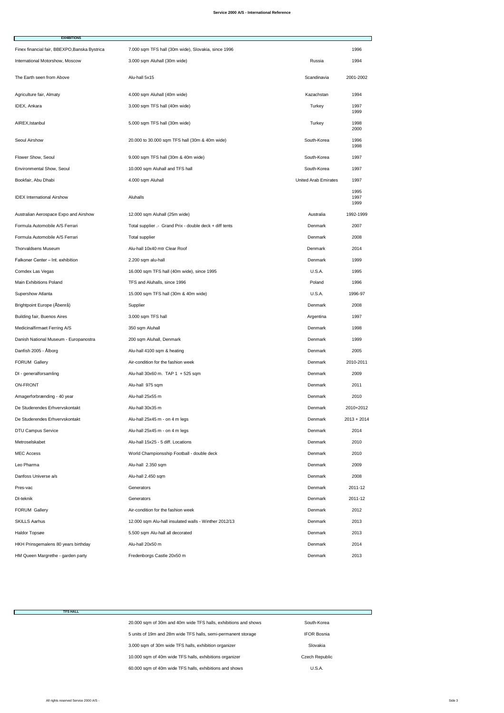| <b>EXHIBITIONS</b>                            |                                                         |                             |                      |
|-----------------------------------------------|---------------------------------------------------------|-----------------------------|----------------------|
| Finex financial fair, BBEXPO, Banska Bystrica | 7.000 sqm TFS hall (30m wide), Slovakia, since 1996     |                             | 1996                 |
| International Motorshow, Moscow               | 3.000 sqm Aluhall (30m wide)                            | Russia                      | 1994                 |
| The Earth seen from Above                     | Alu-hall 5x15                                           | Scandinavia                 | 2001-2002            |
| Agriculture fair, Almaty                      | 4.000 sqm Aluhall (40m wide)                            | Kazachstan                  | 1994                 |
| <b>IDEX, Ankara</b>                           | 3.000 sqm TFS hall (40m wide)                           | Turkey                      | 1997<br>1999         |
| AIREX, Istanbul                               | 5.000 sqm TFS hall (30m wide)                           | Turkey                      | 1998<br>2000         |
| <b>Seoul Airshow</b>                          | 20.000 to 30.000 sqm TFS hall (30m & 40m wide)          | South-Korea                 | 1996<br>1998         |
| Flower Show, Seoul                            | 9.000 sqm TFS hall (30m & 40m wide)                     | South-Korea                 | 1997                 |
| <b>Environmental Show, Seoul</b>              | 10.000 sqm Aluhall and TFS hall                         | South-Korea                 | 1997                 |
| Bookfair, Abu Dhabi                           | 4.000 sqm Aluhall                                       | <b>United Arab Emirates</b> | 1997                 |
| <b>IDEX International Airshow</b>             | <b>Aluhalls</b>                                         |                             | 1995<br>1997<br>1999 |
| Australian Aerospace Expo and Airshow         | 12.000 sqm Aluhall (25m wide)                           | Australia                   | 1992-1999            |
| Formula Automobile A/S Ferrari                | Total supplier .- Grand Prix - double deck + diff tents | <b>Denmark</b>              | 2007                 |
| Formula Automobile A/S Ferrari                | <b>Total supplier</b>                                   | <b>Denmark</b>              | 2008                 |
| <b>Thorvaldsens Museum</b>                    | Alu-hall 10x40 mtr Clear Roof                           | <b>Denmark</b>              | 2014                 |
| Falkoner Center - Int. exhibition             | 2.200 sqm alu-hall                                      | <b>Denmark</b>              | 1999                 |
| Comdex Las Vegas                              | 16.000 sqm TFS hall (40m wide), since 1995              | U.S.A.                      | 1995                 |
| <b>Main Exhibitions Poland</b>                | TFS and Aluhalls, since 1996                            | Poland                      | 1996                 |

| <b>Supershow Atlanta</b>              | 15.000 sqm TFS hall (30m & 40m wide)                  | U.S.A.         | 1996-97       |
|---------------------------------------|-------------------------------------------------------|----------------|---------------|
| Brightpoint Europe (Åbenrå)           | Supplier                                              | Denmark        | 2008          |
| <b>Building fair, Buenos Aires</b>    | 3.000 sqm TFS hall                                    | Argentina      | 1997          |
| Medicinalfirmaet Ferring A/S          | 350 sqm Aluhall                                       | Denmark        | 1998          |
| Danish National Museum - Europanostra | 200 sqm Aluhall, Denmark                              | Denmark        | 1999          |
| Danfish 2005 - Ålborg                 | Alu-hall 4100 sqm & heating                           | Denmark        | 2005          |
| <b>FORUM Gallery</b>                  | Air-condition for the fashion week                    | Denmark        | 2010-2011     |
| DI - generalforsamling                | Alu-hall $30x60$ m. TAP 1 + 525 sqm                   | Denmark        | 2009          |
| <b>ON-FRONT</b>                       | Alu-hall 975 sqm                                      | Denmark        | 2011          |
| Amagerforbrænding - 40 year           | Alu-hall 25x55 m                                      | Denmark        | 2010          |
| De Studerendes Erhvervskontakt        | Alu-hall 30x35 m                                      | Denmark        | 2010+2012     |
| De Studerendes Erhvervskontakt        | Alu-hall 25x45 m - on 4 m legs                        | Denmark        | $2013 + 2014$ |
| <b>DTU Campus Service</b>             | Alu-hall 25x45 m - on 4 m legs                        | <b>Denmark</b> | 2014          |
| Metroselskabet                        | Alu-hall 15x25 - 5 diff. Locations                    | Denmark        | 2010          |
| <b>MEC Access</b>                     | World Championsship Football - double deck            | <b>Denmark</b> | 2010          |
| Leo Pharma                            | Alu-hall 2.350 sqm                                    | Denmark        | 2009          |
| Danfoss Universe a/s                  | Alu-hall 2.450 sqm                                    | Denmark        | 2008          |
| Pres-vac                              | Generators                                            | Denmark        | 2011-12       |
| DI-teknik                             | Generators                                            | Denmark        | 2011-12       |
| <b>FORUM Gallery</b>                  | Air-condition for the fashion week                    | Denmark        | 2012          |
| <b>SKILLS Aarhus</b>                  | 12.000 sqm Alu-hall insulated walls - Winther 2012/13 | Denmark        | 2013          |
| Haldor Topsøe                         | 5.500 sqm Alu-hall all decorated                      | Denmark        | 2013          |
| HKH Prinsgemalens 80 years birthday   | Alu-hall 20x50 m                                      | Denmark        | 2014          |
| HM Queen Margrethe - garden party     | Fredenborgs Castle 20x50 m                            | <b>Denmark</b> | 2013          |

| <b>TFS HALL</b> |                                                                 |                       |  |
|-----------------|-----------------------------------------------------------------|-----------------------|--|
|                 | 20.000 sqm of 30m and 40m wide TFS halls, exhibitions and shows | South-Korea           |  |
|                 | 5 units of 19m and 28m wide TFS halls, semi-permanent storage   | <b>IFOR Bosnia</b>    |  |
|                 | 3.000 sqm of 30m wide TFS halls, exhibition organizer           | Slovakia              |  |
|                 | 10.000 sqm of 40m wide TFS halls, exhibitions organizer         | <b>Czech Republic</b> |  |
|                 | 60.000 sqm of 40m wide TFS halls, exhibitions and shows         | U.S.A.                |  |